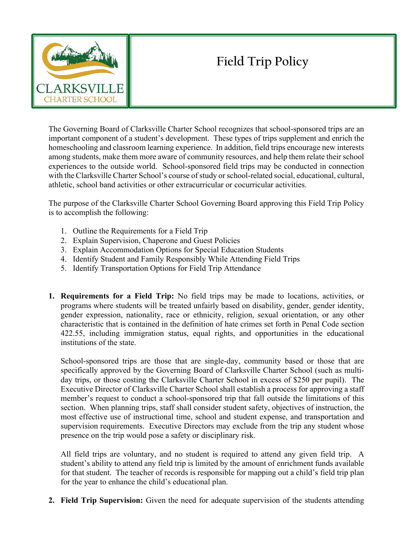

## **Field Trip Policy**

The Governing Board of Clarksville Charter School recognizes that school-sponsored trips are an important component of a student's development. These types of trips supplement and enrich the homeschooling and classroom learning experience. In addition, field trips encourage new interests among students, make them more aware of community resources, and help them relate their school experiences to the outside world. School-sponsored field trips may be conducted in connection with the Clarksville Charter School's course of study or school-related social, educational, cultural, athletic, school band activities or other extracurricular or cocurricular activities.

The purpose of the Clarksville Charter School Governing Board approving this Field Trip Policy is to accomplish the following:

- 1. Outline the Requirements for a Field Trip
- 2. Explain Supervision, Chaperone and Guest Policies
- 3. Explain Accommodation Options for Special Education Students
- 4. Identify Student and Family Responsibly While Attending Field Trips
- 5. Identify Transportation Options for Field Trip Attendance
- **1. Requirements for a Field Trip:** No field trips may be made to locations, activities, or programs where students will be treated unfairly based on disability, gender, gender identity, gender expression, nationality, race or ethnicity, religion, sexual orientation, or any other characteristic that is contained in the definition of hate crimes set forth in Penal Code section 422.55, including immigration status, equal rights, and opportunities in the educational institutions of the state.

School-sponsored trips are those that are single-day, community based or those that are specifically approved by the Governing Board of Clarksville Charter School (such as multiday trips, or those costing the Clarksville Charter School in excess of \$250 per pupil). The Executive Director of Clarksville Charter School shall establish a process for approving a staff member's request to conduct a school-sponsored trip that fall outside the limitations of this section. When planning trips, staff shall consider student safety, objectives of instruction, the most effective use of instructional time, school and student expense, and transportation and supervision requirements. Executive Directors may exclude from the trip any student whose presence on the trip would pose a safety or disciplinary risk.

All field trips are voluntary, and no student is required to attend any given field trip. A student's ability to attend any field trip is limited by the amount of enrichment funds available for that student. The teacher of records is responsible for mapping out a child's field trip plan for the year to enhance the child's educational plan.

**2. Field Trip Supervision:** Given the need for adequate supervision of the students attending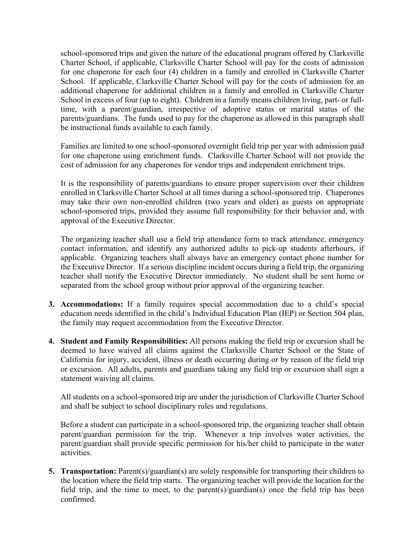school-sponsored trips and given the nature of the educational program offered by Clarksville Charter School, if applicable, Clarksville Charter School will pay for the costs of admission for one chaperone for each four (4) children in a family and enrolled in Clarksville Charter School. If applicable, Clarksville Charter School will pay for the costs of admission for an additional chaperone for additional children in a family and enrolled in Clarksville Charter School in excess of four (up to eight). Children in a family means children living, part- or fulltime, with a parent/guardian, irrespective of adoptive status or marital status of the parents/guardians. The funds used to pay for the chaperone as allowed in this paragraph shall be instructional funds available to each family.

Families are limited to one school-sponsored overnight field trip per year with admission paid for one chaperone using enrichment funds. Clarksville Charter School will not provide the cost of admission for any chaperones for vendor trips and independent enrichment trips.

It is the responsibility of parents/guardians to ensure proper supervision over their children enrolled in Clarksville Charter School at all times during a school-sponsored trip. Chaperones may take their own non-enrolled children (two years and older) as guests on appropriate school-sponsored trips, provided they assume full responsibility for their behavior and, with approval of the Executive Director.

The organizing teacher shall use a field trip attendance form to track attendance, emergency contact information, and identify any authorized adults to pick-up students afterhours, if applicable. Organizing teachers shall always have an emergency contact phone number for the Executive Director. If a serious discipline incident occurs during a field trip, the organizing teacher shall notify the Executive Director immediately. No student shall be sent home or separated from the school group without prior approval of the organizing teacher.

- **3. Accommodations:** If a family requires special accommodation due to a child's special education needs identified in the child's Individual Education Plan (IEP) or Section 504 plan, the family may request accommodation from the Executive Director.
- **4. Student and Family Responsibilities:** All persons making the field trip or excursion shall be deemed to have waived all claims against the Clarksville Charter School or the State of California for injury, accident, illness or death occurring during or by reason of the field trip or excursion. All adults, parents and guardians taking any field trip or excursion shall sign a statement waiving all claims.

All students on a school-sponsored trip are under the jurisdiction of Clarksville Charter School and shall be subject to school disciplinary rules and regulations.

Before a student can participate in a school-sponsored trip, the organizing teacher shall obtain parent/guardian permission for the trip. Whenever a trip involves water activities, the parent/guardian shall provide specific permission for his/her child to participate in the water activities.

**5. Transportation:** Parent(s)/guardian(s) are solely responsible for transporting their children to the location where the field trip starts. The organizing teacher will provide the location for the field trip, and the time to meet, to the parent(s)/guardian(s) once the field trip has been confirmed.